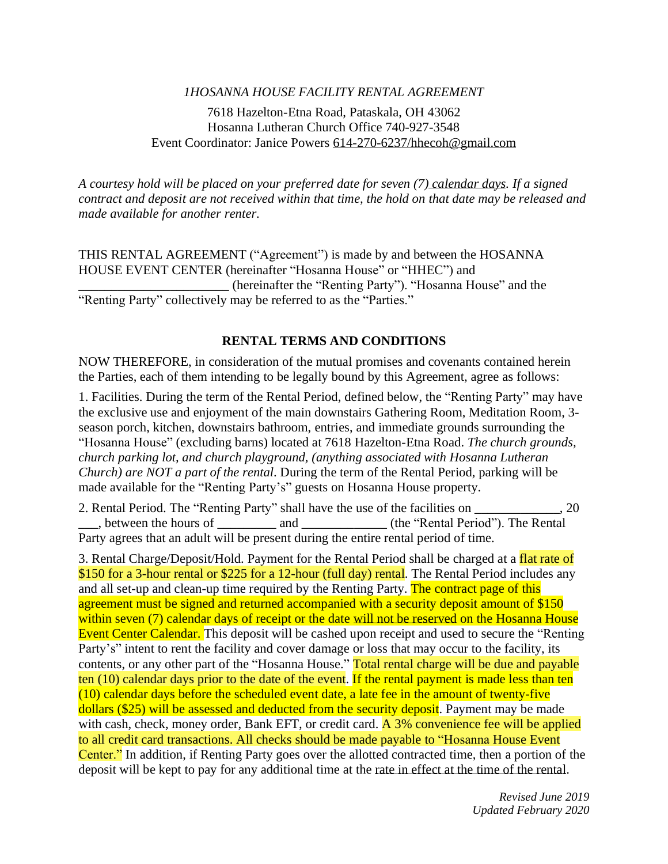# *1HOSANNA HOUSE FACILITY RENTAL AGREEMENT*

### 7618 Hazelton-Etna Road, Pataskala, OH 43062 Hosanna Lutheran Church Office 740-927-3548 Event Coordinator: Janice Powers [614-270-6237/hhecoh@gmail.com](mailto:614-270-6237/hhecoh@gmail.com)

*A courtesy hold will be placed on your preferred date for seven (7) calendar days. If a signed contract and deposit are not received within that time, the hold on that date may be released and made available for another renter.*

THIS RENTAL AGREEMENT ("Agreement") is made by and between the HOSANNA HOUSE EVENT CENTER (hereinafter "Hosanna House" or "HHEC") and \_\_\_\_\_\_\_\_\_\_\_\_\_\_\_\_\_\_\_\_\_\_\_ (hereinafter the "Renting Party"). "Hosanna House" and the "Renting Party" collectively may be referred to as the "Parties."

#### **RENTAL TERMS AND CONDITIONS**

NOW THEREFORE, in consideration of the mutual promises and covenants contained herein the Parties, each of them intending to be legally bound by this Agreement, agree as follows:

1. Facilities. During the term of the Rental Period, defined below, the "Renting Party" may have the exclusive use and enjoyment of the main downstairs Gathering Room, Meditation Room, 3 season porch, kitchen, downstairs bathroom, entries, and immediate grounds surrounding the "Hosanna House" (excluding barns) located at 7618 Hazelton-Etna Road. *The church grounds, church parking lot, and church playground, (anything associated with Hosanna Lutheran Church) are NOT a part of the rental*. During the term of the Rental Period, parking will be made available for the "Renting Party's" guests on Hosanna House property.

2. Rental Period. The "Renting Party" shall have the use of the facilities on \_\_\_\_\_\_\_\_\_\_\_\_\_, 20 \_\_, between the hours of \_\_\_\_\_\_\_\_\_\_ and \_\_\_\_\_\_\_\_\_\_\_\_\_\_\_ (the "Rental Period"). The Rental Party agrees that an adult will be present during the entire rental period of time.

3. Rental Charge/Deposit/Hold. Payment for the Rental Period shall be charged at a flat rate of \$150 for a 3-hour rental or \$225 for a 12-hour (full day) rental. The Rental Period includes any and all set-up and clean-up time required by the Renting Party. The contract page of this agreement must be signed and returned accompanied with a security deposit amount of \$150 within seven (7) calendar days of receipt or the date will not be reserved on the Hosanna House Event Center Calendar. This deposit will be cashed upon receipt and used to secure the "Renting" Party's" intent to rent the facility and cover damage or loss that may occur to the facility, its contents, or any other part of the "Hosanna House." Total rental charge will be due and payable ten (10) calendar days prior to the date of the event. If the rental payment is made less than ten (10) calendar days before the scheduled event date, a late fee in the amount of twenty-five dollars (\$25) will be assessed and deducted from the security deposit. Payment may be made with cash, check, money order, Bank EFT, or credit card.  $\overline{A}$  3% convenience fee will be applied to all credit card transactions. All checks should be made payable to "Hosanna House Event Center." In addition, if Renting Party goes over the allotted contracted time, then a portion of the deposit will be kept to pay for any additional time at the rate in effect at the time of the rental.

> *Revised June 2019 Updated February 2020*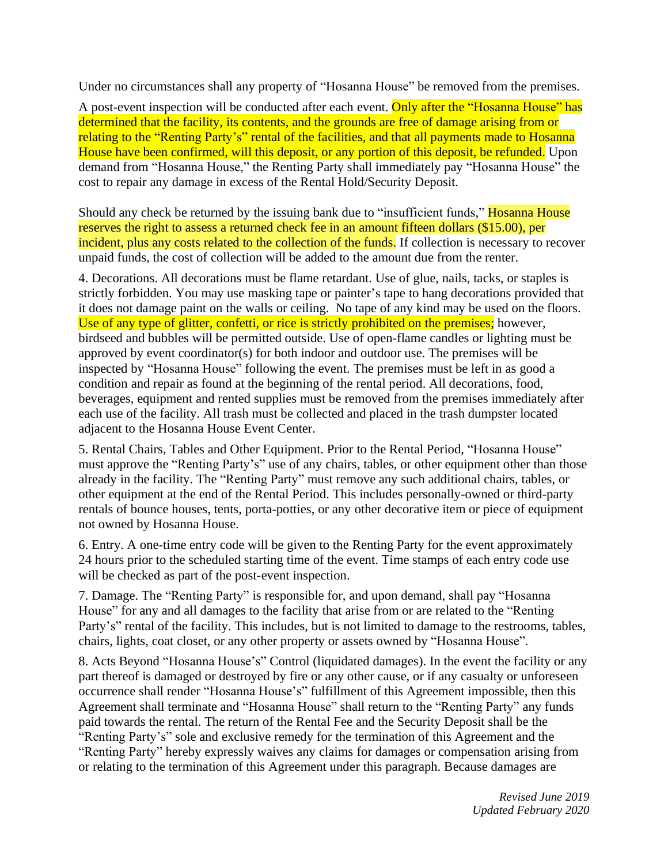Under no circumstances shall any property of "Hosanna House" be removed from the premises.

A post-event inspection will be conducted after each event. Only after the "Hosanna House" has determined that the facility, its contents, and the grounds are free of damage arising from or relating to the "Renting Party's" rental of the facilities, and that all payments made to Hosanna House have been confirmed, will this deposit, or any portion of this deposit, be refunded. Upon demand from "Hosanna House," the Renting Party shall immediately pay "Hosanna House" the cost to repair any damage in excess of the Rental Hold/Security Deposit.

Should any check be returned by the issuing bank due to "insufficient funds," **Hosanna House** reserves the right to assess a returned check fee in an amount fifteen dollars (\$15.00), per incident, plus any costs related to the collection of the funds. If collection is necessary to recover unpaid funds, the cost of collection will be added to the amount due from the renter.

4. Decorations. All decorations must be flame retardant. Use of glue, nails, tacks, or staples is strictly forbidden. You may use masking tape or painter's tape to hang decorations provided that it does not damage paint on the walls or ceiling. No tape of any kind may be used on the floors. Use of any type of glitter, confetti, or rice is strictly prohibited on the premises; however, birdseed and bubbles will be permitted outside. Use of open-flame candles or lighting must be approved by event coordinator(s) for both indoor and outdoor use. The premises will be inspected by "Hosanna House" following the event. The premises must be left in as good a condition and repair as found at the beginning of the rental period. All decorations, food, beverages, equipment and rented supplies must be removed from the premises immediately after each use of the facility. All trash must be collected and placed in the trash dumpster located adjacent to the Hosanna House Event Center.

5. Rental Chairs, Tables and Other Equipment. Prior to the Rental Period, "Hosanna House" must approve the "Renting Party's" use of any chairs, tables, or other equipment other than those already in the facility. The "Renting Party" must remove any such additional chairs, tables, or other equipment at the end of the Rental Period. This includes personally-owned or third-party rentals of bounce houses, tents, porta-potties, or any other decorative item or piece of equipment not owned by Hosanna House.

6. Entry. A one-time entry code will be given to the Renting Party for the event approximately 24 hours prior to the scheduled starting time of the event. Time stamps of each entry code use will be checked as part of the post-event inspection.

7. Damage. The "Renting Party" is responsible for, and upon demand, shall pay "Hosanna House" for any and all damages to the facility that arise from or are related to the "Renting Party's" rental of the facility. This includes, but is not limited to damage to the restrooms, tables, chairs, lights, coat closet, or any other property or assets owned by "Hosanna House".

8. Acts Beyond "Hosanna House's" Control (liquidated damages). In the event the facility or any part thereof is damaged or destroyed by fire or any other cause, or if any casualty or unforeseen occurrence shall render "Hosanna House's" fulfillment of this Agreement impossible, then this Agreement shall terminate and "Hosanna House" shall return to the "Renting Party" any funds paid towards the rental. The return of the Rental Fee and the Security Deposit shall be the "Renting Party's" sole and exclusive remedy for the termination of this Agreement and the "Renting Party" hereby expressly waives any claims for damages or compensation arising from or relating to the termination of this Agreement under this paragraph. Because damages are

> *Revised June 2019 Updated February 2020*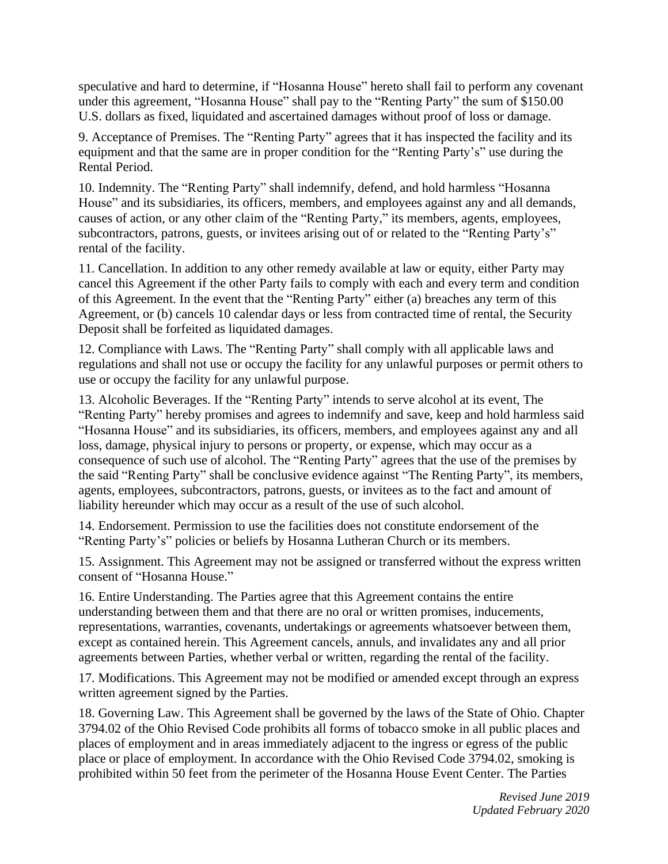speculative and hard to determine, if "Hosanna House" hereto shall fail to perform any covenant under this agreement, "Hosanna House" shall pay to the "Renting Party" the sum of \$150.00 U.S. dollars as fixed, liquidated and ascertained damages without proof of loss or damage.

9. Acceptance of Premises. The "Renting Party" agrees that it has inspected the facility and its equipment and that the same are in proper condition for the "Renting Party's" use during the Rental Period.

10. Indemnity. The "Renting Party" shall indemnify, defend, and hold harmless "Hosanna House" and its subsidiaries, its officers, members, and employees against any and all demands, causes of action, or any other claim of the "Renting Party," its members, agents, employees, subcontractors, patrons, guests, or invitees arising out of or related to the "Renting Party's" rental of the facility.

11. Cancellation. In addition to any other remedy available at law or equity, either Party may cancel this Agreement if the other Party fails to comply with each and every term and condition of this Agreement. In the event that the "Renting Party" either (a) breaches any term of this Agreement, or (b) cancels 10 calendar days or less from contracted time of rental, the Security Deposit shall be forfeited as liquidated damages.

12. Compliance with Laws. The "Renting Party" shall comply with all applicable laws and regulations and shall not use or occupy the facility for any unlawful purposes or permit others to use or occupy the facility for any unlawful purpose.

13. Alcoholic Beverages. If the "Renting Party" intends to serve alcohol at its event, The "Renting Party" hereby promises and agrees to indemnify and save, keep and hold harmless said "Hosanna House" and its subsidiaries, its officers, members, and employees against any and all loss, damage, physical injury to persons or property, or expense, which may occur as a consequence of such use of alcohol. The "Renting Party" agrees that the use of the premises by the said "Renting Party" shall be conclusive evidence against "The Renting Party", its members, agents, employees, subcontractors, patrons, guests, or invitees as to the fact and amount of liability hereunder which may occur as a result of the use of such alcohol.

14. Endorsement. Permission to use the facilities does not constitute endorsement of the "Renting Party's" policies or beliefs by Hosanna Lutheran Church or its members.

15. Assignment. This Agreement may not be assigned or transferred without the express written consent of "Hosanna House."

16. Entire Understanding. The Parties agree that this Agreement contains the entire understanding between them and that there are no oral or written promises, inducements, representations, warranties, covenants, undertakings or agreements whatsoever between them, except as contained herein. This Agreement cancels, annuls, and invalidates any and all prior agreements between Parties, whether verbal or written, regarding the rental of the facility.

17. Modifications. This Agreement may not be modified or amended except through an express written agreement signed by the Parties.

18. Governing Law. This Agreement shall be governed by the laws of the State of Ohio. Chapter 3794.02 of the Ohio Revised Code prohibits all forms of tobacco smoke in all public places and places of employment and in areas immediately adjacent to the ingress or egress of the public place or place of employment. In accordance with the Ohio Revised Code 3794.02, smoking is prohibited within 50 feet from the perimeter of the Hosanna House Event Center. The Parties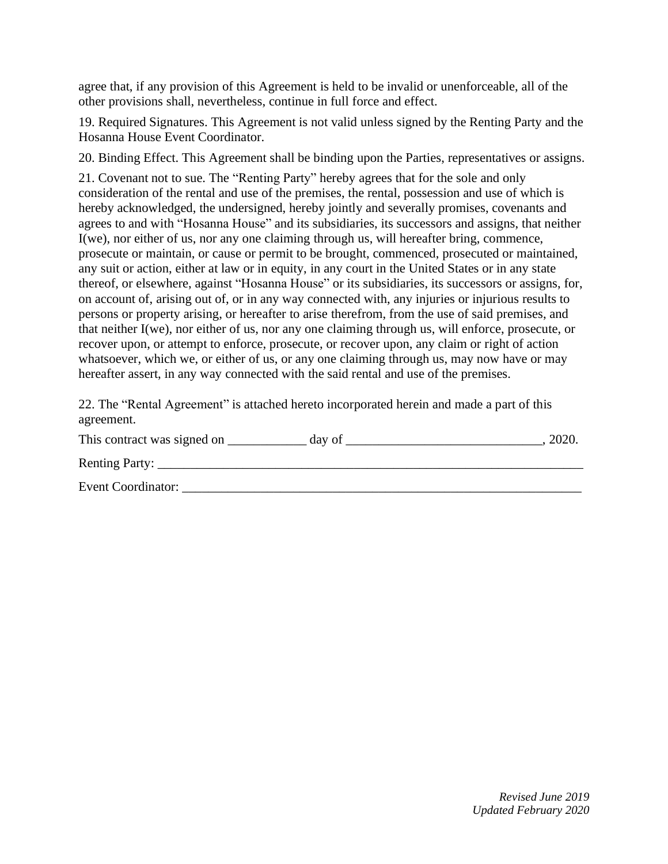agree that, if any provision of this Agreement is held to be invalid or unenforceable, all of the other provisions shall, nevertheless, continue in full force and effect.

19. Required Signatures. This Agreement is not valid unless signed by the Renting Party and the Hosanna House Event Coordinator.

20. Binding Effect. This Agreement shall be binding upon the Parties, representatives or assigns.

21. Covenant not to sue. The "Renting Party" hereby agrees that for the sole and only consideration of the rental and use of the premises, the rental, possession and use of which is hereby acknowledged, the undersigned, hereby jointly and severally promises, covenants and agrees to and with "Hosanna House" and its subsidiaries, its successors and assigns, that neither I(we), nor either of us, nor any one claiming through us, will hereafter bring, commence, prosecute or maintain, or cause or permit to be brought, commenced, prosecuted or maintained, any suit or action, either at law or in equity, in any court in the United States or in any state thereof, or elsewhere, against "Hosanna House" or its subsidiaries, its successors or assigns, for, on account of, arising out of, or in any way connected with, any injuries or injurious results to persons or property arising, or hereafter to arise therefrom, from the use of said premises, and that neither I(we), nor either of us, nor any one claiming through us, will enforce, prosecute, or recover upon, or attempt to enforce, prosecute, or recover upon, any claim or right of action whatsoever, which we, or either of us, or any one claiming through us, may now have or may hereafter assert, in any way connected with the said rental and use of the premises.

22. The "Rental Agreement" is attached hereto incorporated herein and made a part of this agreement.

| This contract was signed on<br>day of | 2020. |
|---------------------------------------|-------|
| Renting Party:                        |       |
| Event Coordinator:                    |       |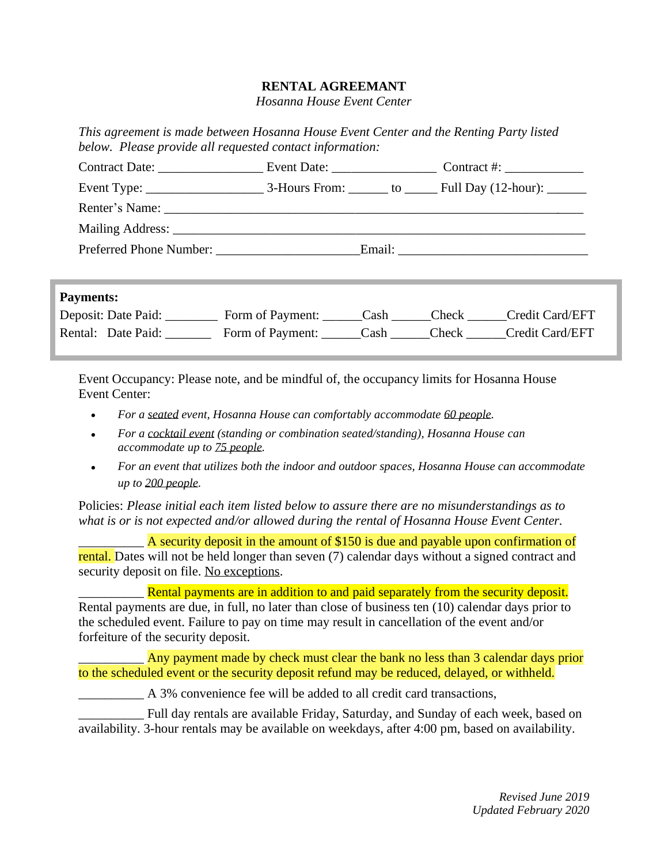# **RENTAL AGREEMANT**

*Hosanna House Event Center*

*This agreement is made between Hosanna House Event Center and the Renting Party listed below. Please provide all requested contact information:*

| Contract Date:                                                                                                                                                                                                                 |  | Event Date: Contract #:                                    |
|--------------------------------------------------------------------------------------------------------------------------------------------------------------------------------------------------------------------------------|--|------------------------------------------------------------|
| Event Type: $\frac{1}{\sqrt{1-\frac{1}{2}} \cdot \frac{1}{2}}$                                                                                                                                                                 |  | 3-Hours From: _______ to ______ Full Day (12-hour): ______ |
|                                                                                                                                                                                                                                |  |                                                            |
| Mailing Address: New York 2014 19:30 and 2014 19:30 and 2014 19:30 and 2014 19:30 and 2014 19:30 and 2014 19:30 and 2014 19:30 and 2014 19:30 and 2014 19:30 and 2014 19:30 and 2014 19:30 and 2014 19:30 and 2014 19:30 and 2 |  |                                                            |
| Preferred Phone Number:                                                                                                                                                                                                        |  |                                                            |

### **Payments:**

| Deposit: Date Paid: | Form of Payment: | Cash | <b>Check</b> | Credit Card/EFT |
|---------------------|------------------|------|--------------|-----------------|
| Rental: Date Paid:  | Form of Payment: | Cash | Check        | Credit Card/EFT |

Event Occupancy: Please note, and be mindful of, the occupancy limits for Hosanna House Event Center:

- *• For a seated event, Hosanna House can comfortably accommodate 60 people.*
- *• For a cocktail event (standing or combination seated/standing), Hosanna House can accommodate up to 75 people.*
- *• For an event that utilizes both the indoor and outdoor spaces, Hosanna House can accommodate up to 200 people.*

Policies: *Please initial each item listed below to assure there are no misunderstandings as to what is or is not expected and/or allowed during the rental of Hosanna House Event Center.*

A security deposit in the amount of \$150 is due and payable upon confirmation of rental. Dates will not be held longer than seven (7) calendar days without a signed contract and security deposit on file. No exceptions.

Rental payments are in addition to and paid separately from the security deposit. Rental payments are due, in full, no later than close of business ten (10) calendar days prior to the scheduled event. Failure to pay on time may result in cancellation of the event and/or forfeiture of the security deposit.

Any payment made by check must clear the bank no less than 3 calendar days prior to the scheduled event or the security deposit refund may be reduced, delayed, or withheld.

\_\_\_\_\_\_\_\_\_\_ A 3% convenience fee will be added to all credit card transactions,

\_\_\_\_\_\_\_\_\_\_ Full day rentals are available Friday, Saturday, and Sunday of each week, based on availability. 3-hour rentals may be available on weekdays, after 4:00 pm, based on availability.